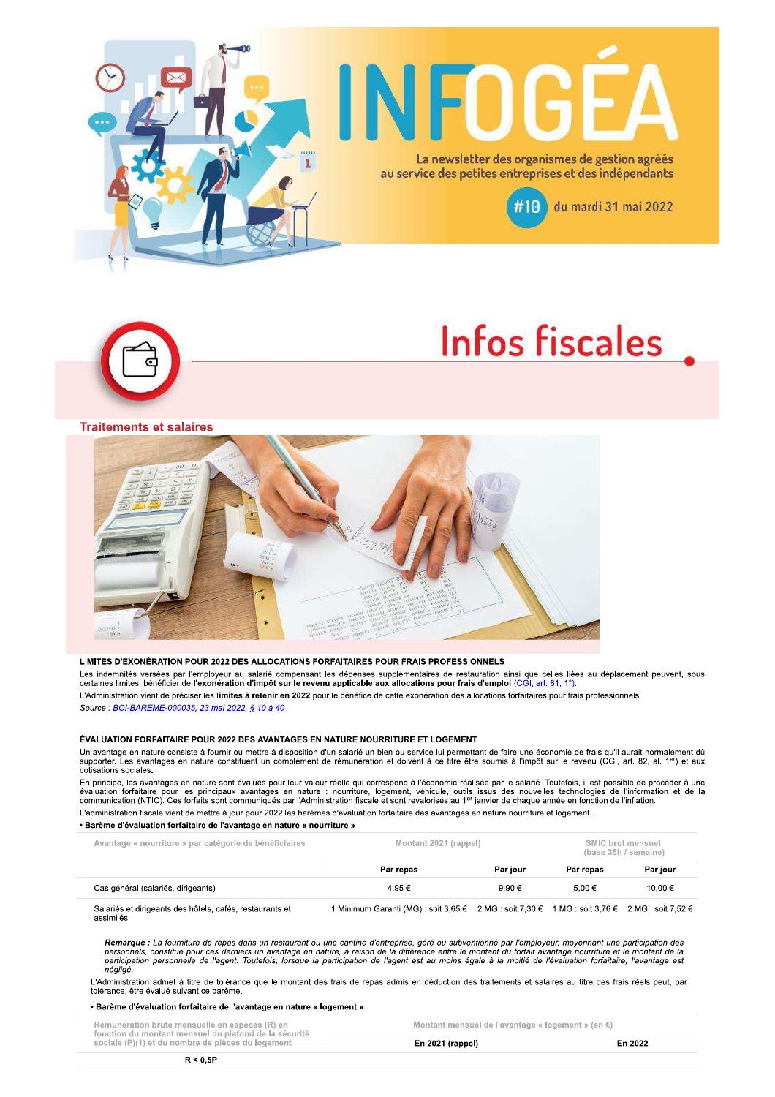





#### **Traitements et salaires**



#### LIMITES D'EXONÉRATION POUR 2022 DES ALLOCATIONS FORFAITAIRES POUR FRAIS PROFESSIONNELS

Les indemnités versées par l'employeur au salarié compensant les dépenses supplémentaires de restauration ainsi que celles liées au déplacement peuvent, sous<br>certaines limites, bénéficier de l'exonération d'impôt sur le re L'Administration vient de préciser les limites à retenir en 2022 pour le bénéfice de cette exonération des allocations forfaitaires pour frais professionnels. Source : BOI-BAREME-000035, 23 mai 2022, § 10 à 40

#### ÉVALUATION FORFAITAIRE POUR 2022 DES AVANTAGES EN NATURE NOURRITURE ET LOGEMENT

Un avantage en nature consiste à fournir ou mettre à disposition d'un salarié un bien ou service lui permettant de faire une économie de frais qu'il aurait normalement dû<br>supporter. Les avantages en nature constituent un c cotisations sociales.

En principe, les avantages en nature sont évalués pour leur valeur réelle qui correspond à l'économie réalisée par le salarié. Toutefois, il est possible de procéder à une évaluation forfaitaire pour les principaux avantages en nature : nourriture, logement, véhicule, outils issus des nouvelles technologies de l'information et de la<br>communication (NTIC). Ces forfaits sont communiqués par l'A L'administration fiscale vient de mettre à jour pour 2022 les barèmes d'évaluation forfaitaire des avantages en nature nourriture et logement.

#### • Barème d'évaluation forfaitaire de l'avantage en nature « nourriture »

| Avantage « nourriture » par catégorie de bénéficiaires                | Montant 2021 (rappel)                                                                                                       |            | SMIC brut mensuel<br>(base 35h / semaine) |          |
|-----------------------------------------------------------------------|-----------------------------------------------------------------------------------------------------------------------------|------------|-------------------------------------------|----------|
|                                                                       | Par repas                                                                                                                   | Par iour   | Par repas                                 | Par iour |
| Cas général (salariés, dirigeants)                                    | 4.95€                                                                                                                       | $9.90 \in$ | $5.00 \in$                                | 10.00 €  |
| Salariés et dirigeants des hôtels, cafés, restaurants et<br>assimilés | Minimum Garanti (MG): soit 3,65 $\epsilon$ 2 MG: soit 7,30 $\epsilon$ 1 MG: soit 3,76 $\epsilon$ 2 MG: soit 7,52 $\epsilon$ |            |                                           |          |

Remarque : La fourniture de repas dans un restaurant ou une cantine d'entreprise, géré ou subventionné par l'employeur, moyennant une participation des<br>personnels, constitue pour ces derniers un avantage en nature, à raiso néaliaé.

L'Administration admet à titre de tolérance que le montant des frais de repas admis en déduction des traitements et salaires au titre des frais réels peut, par tolérance, être évalué suivant ce barème.

#### • Barème d'évaluation forfaitaire de l'avantage en nature « logement »

| Rémunération brute mensuelle en espèces (R) en<br>fonction du montant mensuel du plafond de la sécurité<br>sociale (P)(1) et du nombre de pièces du logement |                  | Montant mensuel de l'avantage « logement » (en $\epsilon$ ) |  |
|--------------------------------------------------------------------------------------------------------------------------------------------------------------|------------------|-------------------------------------------------------------|--|
|                                                                                                                                                              | En 2021 (rappel) | En 2022                                                     |  |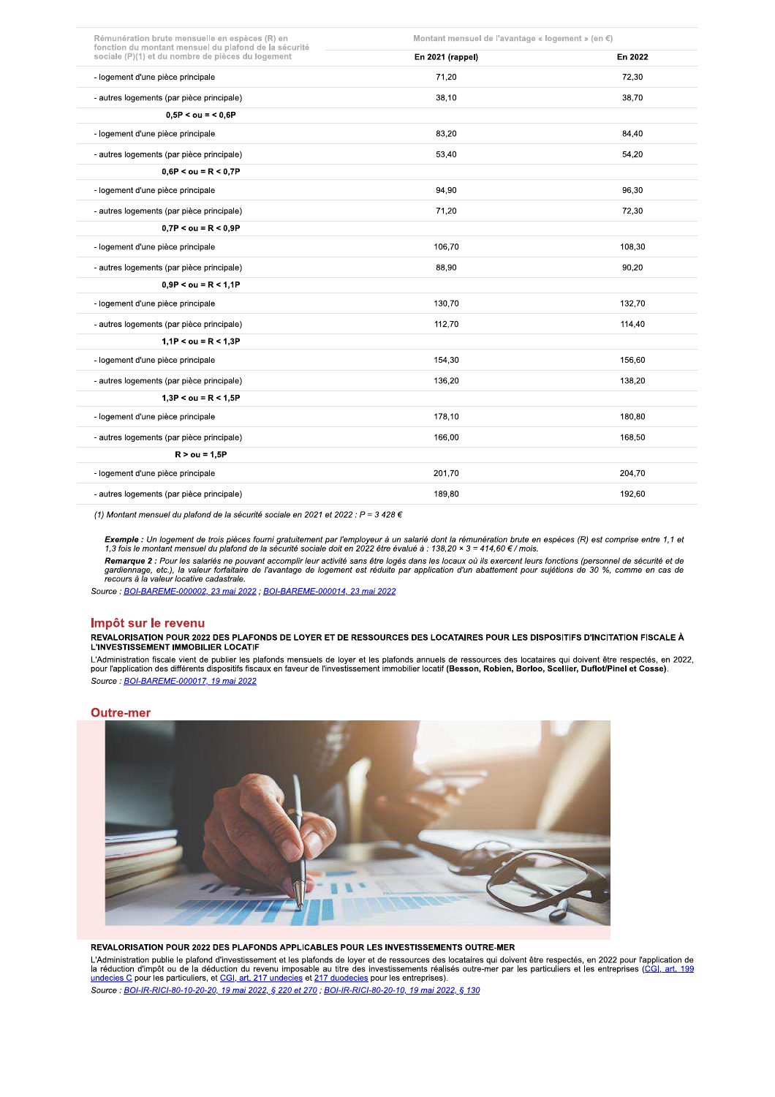| Rémunération brute mensuelle en espèces (R) en<br>fonction du montant mensuel du plafond de la sécurité | Montant mensuel de l'avantage « logement » (en €) |         |  |
|---------------------------------------------------------------------------------------------------------|---------------------------------------------------|---------|--|
| sociale (P)(1) et du nombre de pièces du logement                                                       | En 2021 (rappel)                                  | En 2022 |  |
| - logement d'une pièce principale                                                                       | 71,20                                             | 72,30   |  |
| - autres logements (par pièce principale)                                                               | 38,10                                             | 38,70   |  |
| $0.5P <$ ou = < 0.6P                                                                                    |                                                   |         |  |
| - logement d'une pièce principale                                                                       | 83,20                                             | 84,40   |  |
| - autres logements (par pièce principale)                                                               | 53,40                                             | 54,20   |  |
| $0.6P <$ ou = R < 0.7P                                                                                  |                                                   |         |  |
| - logement d'une pièce principale                                                                       | 94,90                                             | 96,30   |  |
| - autres logements (par pièce principale)                                                               | 71,20                                             | 72,30   |  |
| $0.7P <$ ou = R < 0.9P                                                                                  |                                                   |         |  |
| - logement d'une pièce principale                                                                       | 106,70                                            | 108,30  |  |
| - autres logements (par pièce principale)                                                               | 88,90                                             | 90,20   |  |
| $0.9P <$ ou = R < 1.1P                                                                                  |                                                   |         |  |
| - logement d'une pièce principale                                                                       | 130,70                                            | 132,70  |  |
| - autres logements (par pièce principale)                                                               | 112,70                                            | 114,40  |  |
| $1.1P <$ ou = R < 1.3P                                                                                  |                                                   |         |  |
| - logement d'une pièce principale                                                                       | 154,30                                            | 156,60  |  |
| - autres logements (par pièce principale)                                                               | 136,20                                            | 138,20  |  |
| $1,3P <$ ou = R < 1.5P                                                                                  |                                                   |         |  |
| - logement d'une pièce principale                                                                       | 178,10                                            | 180,80  |  |
| - autres logements (par pièce principale)                                                               | 166,00                                            | 168,50  |  |
| $R > 0u = 1.5P$                                                                                         |                                                   |         |  |
| - logement d'une pièce principale                                                                       | 201.70                                            | 204.70  |  |
| - autres logements (par pièce principale)                                                               | 189,80                                            | 192,60  |  |

(1) Montant mensuel du plafond de la sécurité sociale en 2021 et 2022 :  $P = 3428 \in$ 

Exemple : Un logement de trois pièces fourni gratuitement par l'employeur à un salarié dont la rémunération brute en espèces (R) est comprise entre 1,1 et<br>1,3 fois le montant mensuel du plafond de la sécurité sociale doit Remarque 2 : Pour les salariés ne pouvant accomplir leur activité sans être logés dans les locaux où ils exercent leurs fonctions (personnel de sécurité et de<br>gardiennage, etc.), la valeur forfaitaire de l'avantage de loge

Source : BOI-BAREME-000002, 23 mai 2022 ; BOI-BAREME-000014, 23 mai 2022

#### Impôt sur le revenu

.<br>REVALORISATION POUR 2022 DES PLAFONDS DE LOYER ET DE RESSOURCES DES LOCATAIRES POUR LES DISPOSITIFS D'INCITATION FISCALE À L'INVESTISSEMENT IMMOBILIER LOCATIF

L'Administration fiscale vient de publier les plafonds mensuels de loyer et les plafonds annuels de ressources des locataires qui doivent être respectés, en 2022,<br>pour l'application des différents dispositifs fiscaux en fa Source : BOI-BAREME-000017, 19 mai 2022

#### **Outre-mer**



REVALORISATION POUR 2022 DES PLAFONDS APPLICABLES POUR LES INVESTISSEMENTS OUTRE-MER

L'Administration publie le plafond d'investissement et les plafonds de loyer et de ressources des locataires qui doivent être respectés, en 2022 pour l'application de la déduction du revenu imposable au titre des investiss Source : <u>BOI-IR-RICI-80-10-20-20, 19 mai 2022, § 220 et 270</u> ; BOI-IR-RICI-80-20-10, 19 mai 2022, § 130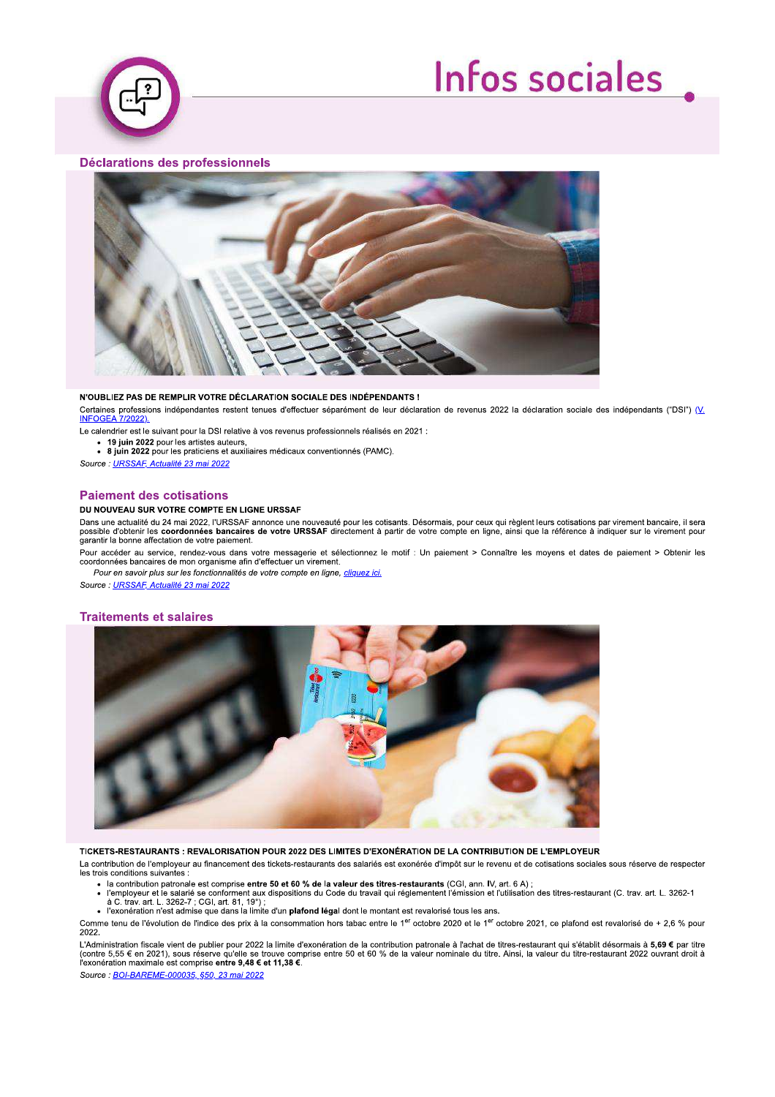

# **Infos sociales**

# **Déclarations des professionnels**



#### N'OUBLIEZ PAS DE REMPLIR VOTRE DÉCLARATION SOCIALE DES INDÉPENDANTS !

Certaines professions indépendantes restent tenues d'effectuer séparément de leur déclaration de revenus 2022 la déclaration sociale des indépendants ("DSI") (V.  $7/2022$ **INFOGEA** 

- Le calendrier est le suivant pour la DSI relative à vos revenus professionnels réalisés en 2021 :
	- 19 juin 2022 pour les artistes auteurs

· 19 juin 2022 pour les artistes auteurs,<br>· 8 juin 2022 pour les praticiens et auxiliaires médicaux conventionnés (PAMC).

Source : URSSAF, Actualité 23 mai 2022

# **Paiement des cotisations**

## DU NOUVEAU SUR VOTRE COMPTE EN LIGNE URSSAF

Dans une actualité du 24 mai 2022, l'URSSAF annonce une nouveauté pour les cotisants. Désormais, pour ceux qui règlent leurs cotisations par virement bancaire, il sera<br>possible d'obtenir les coordonnées bancaires de votre garantir la bonne affectation de votre paiement.

Pour accéder au service, rendez-vous dans votre messagerie et sélectionnez le motif : Un paiement > Connaître les moyens et dates de paiement > Obtenir les coordonnées bancaires de mon organisme afin d'effectuer un virement.

Pour en savoir plus sur les fonctionnalités de votre compte en ligne, cliquez ici.

# Source: URSSAF, Actualité 23 mai 2022

# **Traitements et salaires**



TICKETS-RESTAURANTS : REVALORISATION POUR 2022 DES LIMITES D'EXONÉRATION DE LA CONTRIBUTION DE L'EMPLOYEUR

La contribution de l'employeur au financement des tickets-restaurants des salariés est exonérée d'impôt sur le revenu et de cotisations sociales sous réserve de respecter les trois conditions suivantes :

- 
- la contribution patronale est comprise **entre 50 et 60 % de la valeur des titres-restaurants** (CGI, ann. IV, art. 6 A);<br>• l'employeur et le salarié se conforment aux dispositions du Code du travail qui réglementent l'ém
	-

Comme tenu de l'évolution de l'indice des prix à la consommation hors tabac entre le 1<sup>er</sup> octobre 2020 et le 1<sup>er</sup> octobre 2021, ce plafond est revalorisé de + 2,6 % pour 2022.

L'Administration fiscale vient de publier pour 2022 la limite d'exonération de la contribution patronale à l'achat de titres-restaurant qui s'établit désormais à **5,69 €** par titre<br>(contre 5,55 € en 2021), sous réserve qu

Source : **BOI-BAREME-000035, §50, 23 mai 2022**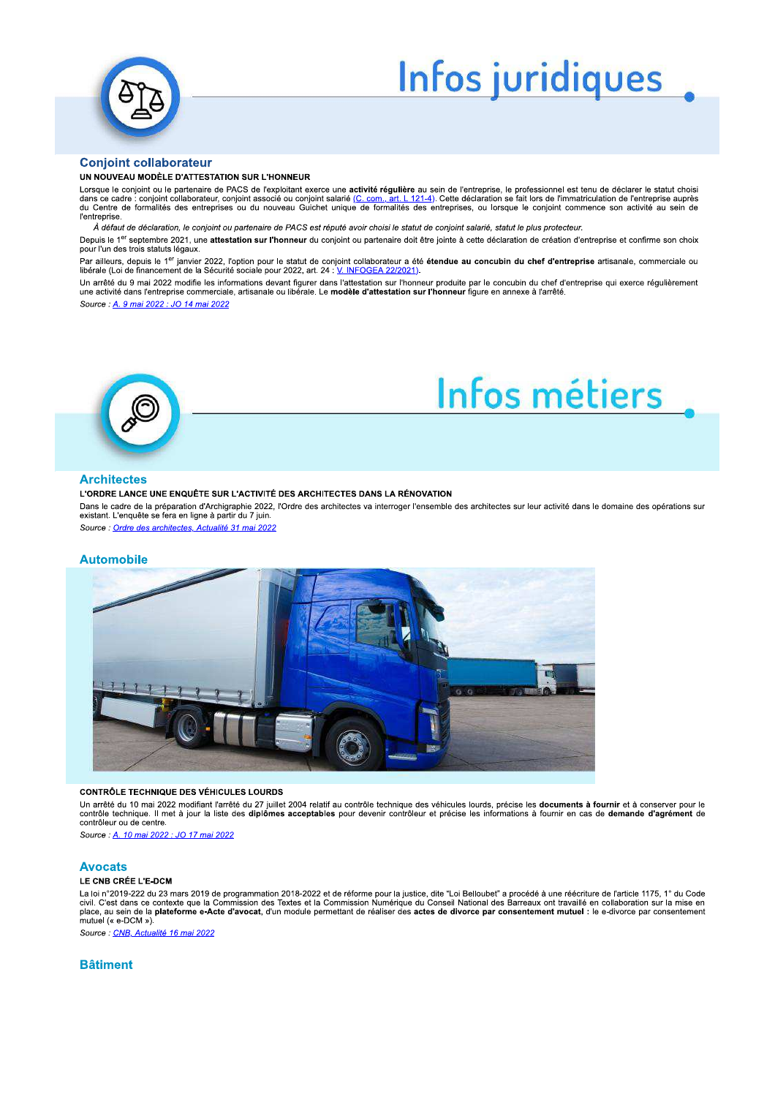

# Infos juridiques

# **Conjoint collaborateur**

#### UN NOUVEAU MODÈLE D'ATTESTATION SUR L'HONNEUR

Lorsque le conjoint ou le partenaire de PACS de l'exploitant exerce une activité régulière au sein de l'entreprise, le professionnel est tenu de déclarer le statut choisi<br>dans ce cadre : conjoint collaborateur, conjoint as l'entreprise

À défaut de déclaration, le conjoint ou partenaire de PACS est réputé avoir choisi le statut de conjoint salarié, statut le plus protecteur.

Depuis le 1<sup>er</sup> septembre 2021, une attestation sur l'honneur du conjoint ou partenaire doit être jointe à cette déclaration de création d'entreprise et confirme son choix pour l'un des trois statuts légaux.

Par ailleurs, depuis le 1<sup>er</sup> janvier 2022, l'option pour le statut de conjoint collaborateur a été étendue au concubin du chef d'entreprise artisanale, commerciale ou libérale (Loi de financement de la Sécurité sociale pour 2022, art. 24 : V. INFOGE

Un arrêté du 9 mai 2022 modifie les informations devant figurer dans l'attestation sur l'honneur produite par le concubin du chef d'entreprise qui exerce réquilèrement une activité dans l'entreprise commerciale, artissanale ou libérale. Le modèle d'attestation sur l'honneur figure en annexe à l'arrêté

Source : A. 9 mai 2022 : JO 14 mai 2022



# Infos métiers

# **Architectes**

#### L'ORDRE LANCE UNE ENQUÊTE SUR L'ACTIVITÉ DES ARCHITECTES DANS LA RÉNOVATION

Dans le cadre de la préparation d'Archigraphie 2022, l'Ordre des architectes va interroger l'ensemble des architectes sur leur activité dans le domaine des opérations sur existant. L'enquête se fera en ligne à partir du 7 juin

Source : Ordre des architectes. Actualité 31 mai 2022

#### **Automobile**



#### **CONTRÔLE TECHNIQUE DES VÉHICULES LOURDS**

Un arrêté du 10 mai 2022 modifiant l'arrêté du 27 juillet 2004 relatif au contrôle technique des véhicules lourds, précise les documents à fournir et à conserver pour le<br>contrôle technique. Il met à jour la liste des diplô contrôleur ou de centre

Source: A. 10 mai 2022 : JO 17 mai 2022

### **Avocats**

#### LE CNB CRÉE L'E-DCM

La loi n°2019-222 du 23 mars 2019 de programmation 2018-2022 et de réforme pour la justice, dite "Loi Belloubet" a procédé à une réécriture de l'article 1175, 1° du Code divided to the second of the content of the contraction of the contract of the contract of the content of the content of the content of the content of the content of the content of the content of the content of the content mutuel (« e-DCM »).

Source : CNB, Actualité 16 mai 2022

# **Bâtiment**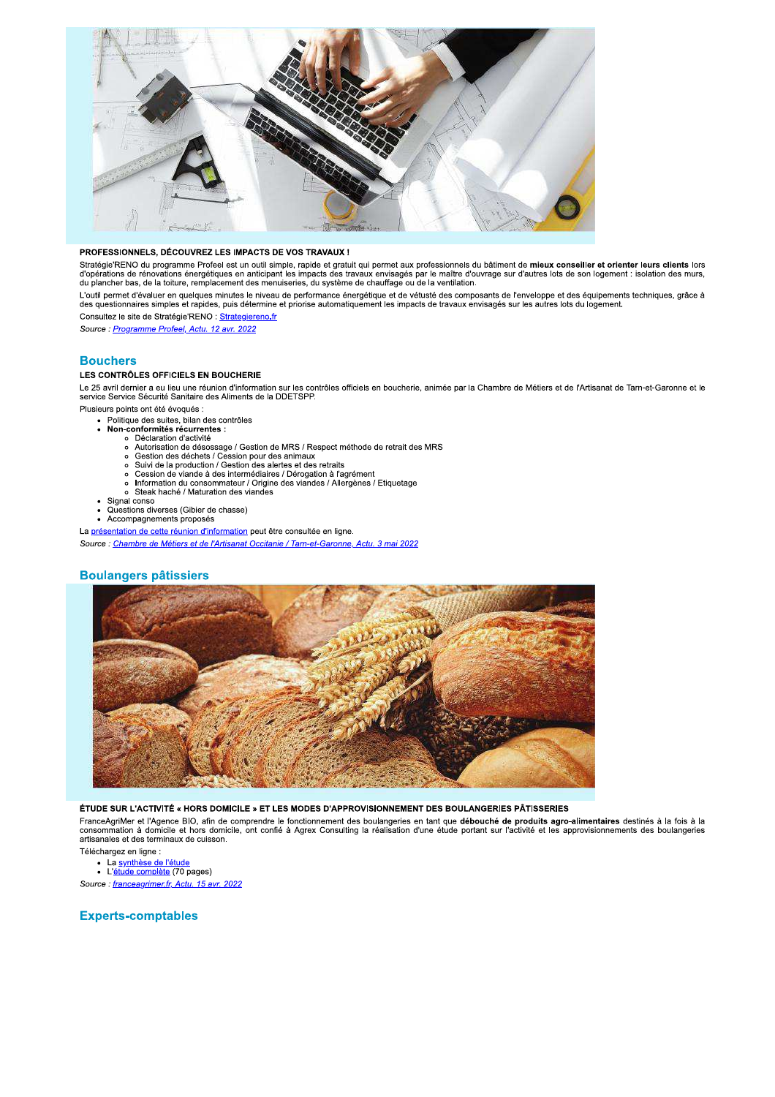

### PROFESSIONNELS, DÉCOUVREZ LES IMPACTS DE VOS TRAVAUX !

Stratégie'RENO du programme Profeel est un outil simple, rapide et gratuit qui permet aux professionnels du bâtiment de mieux conseiller et orienter leurs clients lors<br>d'opérations de rénovations énergétiques en anticipant

L'outil permet d'évaluer en quelques minutes le niveau de performance énergétique et de vétusté des composants de l'enveloppe et des équipements techniques, grâce à<br>des questionnaires simples et rapides, puis détermine et

Consultez le site de Stratégie'RENO : Strategiereno.fr Source: Programme Profeel, Actu. 12 avr. 2022

# **Bouchers**

# LES CONTRÔLES OFFICIELS EN BOUCHERIE

Le 25 avril dernier a eu lieu une réunion d'information sur les contrôles officiels en boucherie, animée par la Chambre de Métiers et de l'Artisanat de Tarn-et-Garonne et le<br>service Service Sécurité Sanitaire des Aliments

Plusieurs points ont été évoqués

- Politique des suites, bilan des contrôles<br>Non-conformités récurrentes :  $\ddot{\cdot}$ 
	-
	- o Déclaration d'activité<br>
	o Déclaration d'activité<br>
	o Autorisation de désossage / Gestion de MRS / Respect méthode de retrait des MRS
	- $\circ$
	- Cestion des déchets / Cession pour des animaux<br>Suivi de la production / Gestion des alertes et des retraits  $\circ$
	-
	- Session de viande à des intermédiaires / Dérogation à l'agrément<br>Information du consommateur / Origine des viandes / Allergènes / Etiquetage<br>Steak haché / Maturation des viandes
	-
- Signal conso
- Questions diverses (Gibier de chasse) Accompagnements proposés

La présentation de cette réunion d'information peut être consultée en ligne.

Source : Chambre de Métiers et de l'Artisanat Occitanie / Tarn-et-Garonne, Actu. 3 mai 2022

# **Boulangers pâtissiers**



## ÉTUDE SUR L'ACTIVITÉ « HORS DOMICILE » ET LES MODES D'APPROVISIONNEMENT DES BOULANGERIES PÂTISSERIES

FranceAgriMer et l'Agence BIO, afin de comprendre le fonctionnement des boulangeries en tant que débouché de produits agro-alimentaires destinés à la fois à la<br>consommation à domicile et hors domicile, ont confié à Agrex C artisanales et des terminaux de cuisson.

Téléchargez en ligne :

enargez en agr.e :<br>▪ La <u>synthèse de l'étude</u><br>▪ L'<u>étude complète</u> (70 pages)

Source: franceagrimer.fr, Actu. 15 avr. 2022

# **Experts-comptables**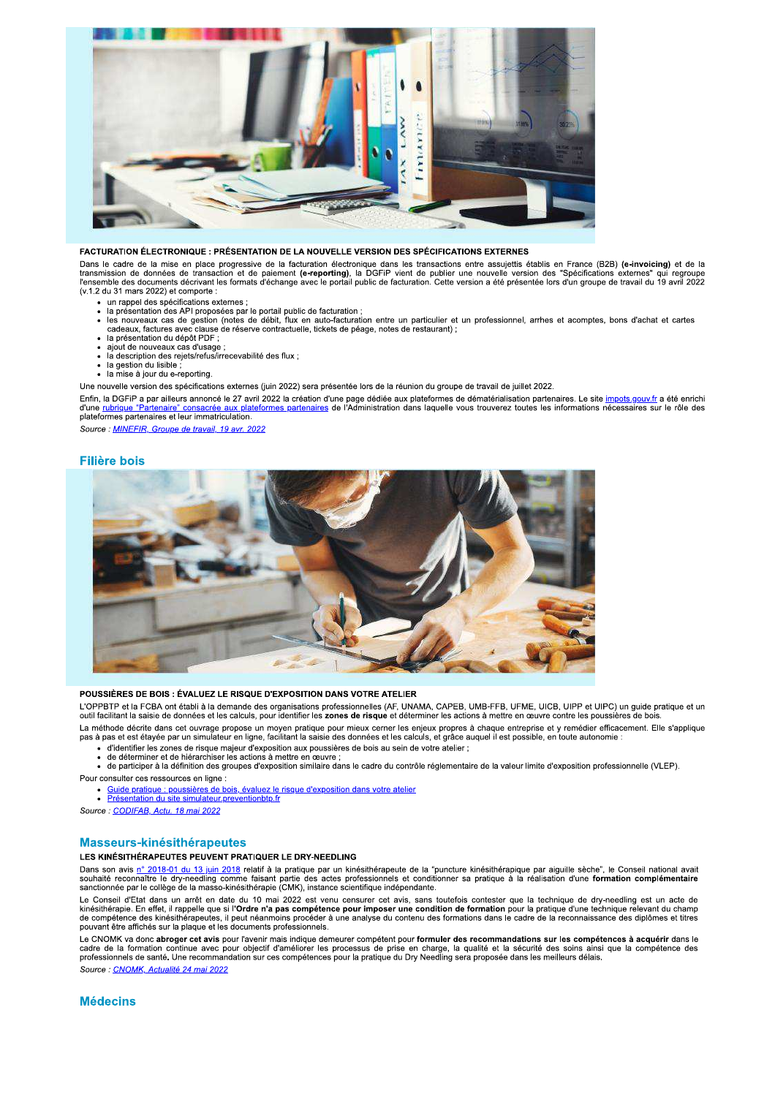

#### FACTURATION ÉLECTRONIQUE : PRÉSENTATION DE LA NOUVELLE VERSION DES SPÉCIFICATIONS EXTERNES

Dans le cadre de la mise en place progressive de la facturation électronique dans les transactions entre assujettis établis en France (B2B) **(e-invoicing)** et de la<br>transmission de données de transaction et de paiement **(e** (v.1.2 du 31 mars 2022) et comporte :

- 
- un rappel des spécifications externes ;<br>la présentation des API proposées par le portail public de facturation ;
- de procurrences au reproducto par le portent parme de lacturation.<br>les nouveaux cas de gestion (notes de débit, flux en auto-facturation entre un particulier et un professionnel, arrhes et acomptes, bons d'achat et cartes
- 
- ajout de nouveaux cas d'usage
- la description des rejets/refus/irrecevabilité des flux ;
- la gestion du lisible
- la mise à jour du e-reporting.

Une nouvelle version des spécifications externes (juin 2022) sera présentée lors de la réunion du groupe de travail de juillet 2022.

Enfin, la DGFiP a par ailleurs annoncé le 27 avril 2022 la création d'une page dédiée aux plateformes de dématérialisation partenaires. Le site impots gouv.fr a été enrichi<br>d'une rubrique "Partenaire" consacrée aux platefo

Source : MINEFIR, Groupe de travail, 19 avr. 2022

#### **Filière bois**



#### POUSSIÈRES DE BOIS : ÉVALUEZ LE RISQUE D'EXPOSITION DANS VOTRE ATELIER

L'OPPBTP et la FCBA ont établi à la demande des organisations professionnelles (AF, UNAMA, CAPEB, UMB-FFB, UFME, UICB, UIPP et UIPC) un guide pratique et un outil facilitant la saisie de données et les calculs, pour identifier les zones de risque et déterminer les actions à mettre en œuvre contre les poussières de bois

La méthode décrite dans cet ouvrage propose un moyen pratique pour mieux cerner les enjeux propres à chaque entreprise et y remédier efficacement. Elle s'applique pas à pas et est étayée par un simulateur en ligne, facilitant la saisie des données et les calculs, et grâce auquel il est possible, en toute autonomie :

- d'identifier les zones de risque majeur d'exposition aux poussières de bois au sein de votre atelier ;<br>d'identifier les zones de risque majeur d'exposition aux poussières de bois au sein de votre atelier ;<br>de déterminer et
- 
- de participer à la définition des groupes d'exposition similaire dans le cadre du contrôle réglementaire de la valeur limite d'exposition professionnelle (VLEP).

Pour consulter ces ressources en ligne :

· Guide pratique : poussières de bois, évaluez le risque d'exposition dans votre atelier<br>• Présentation du site simulateur preventionblp.fr

Source: CODIFAB, Actu. 18 mai 2022

# Masseurs-kinésithérapeutes

#### LES KINÉSITHÉRAPEUTES PEUVENT PRATIQUER LE DRY-NEEDLING

Dans son avis <u>n° 2018-01 du 13 juin 2018</u> relatif à la pratique par un kinésithérapeute de la "puncture kinésithérapique par aiguille sèche", le Conseil national avait<br>souhaité reconnaître le dry-needling comme faisant pa

Le Conseil d'Etat dans un arrêt en date du 10 mai 2022 est venu censurer cet avis, sans toutefois contester que la technique de dry-needling est un acte de L'occurso de la reconstruction de formation de formation pour la pratique d'une technique de la reconnaissance des kinésithérapeutes, il peut néan de **la reconnaissance des l'occurso de la reconnaissance** des kinésithérape pouvant être affichés sur la plaque et les documents professionnels.

Le CNOMK va donc abroger cet avis pour l'avenir mais indique demeurer compétent pour formuler des recommandations sur les compétences à acquérir dans le<br>cadre de la formation continue avec pour objectif d'améliorer les pro Source: CNOMK, Actualité 24 mai 2022

**Médecins**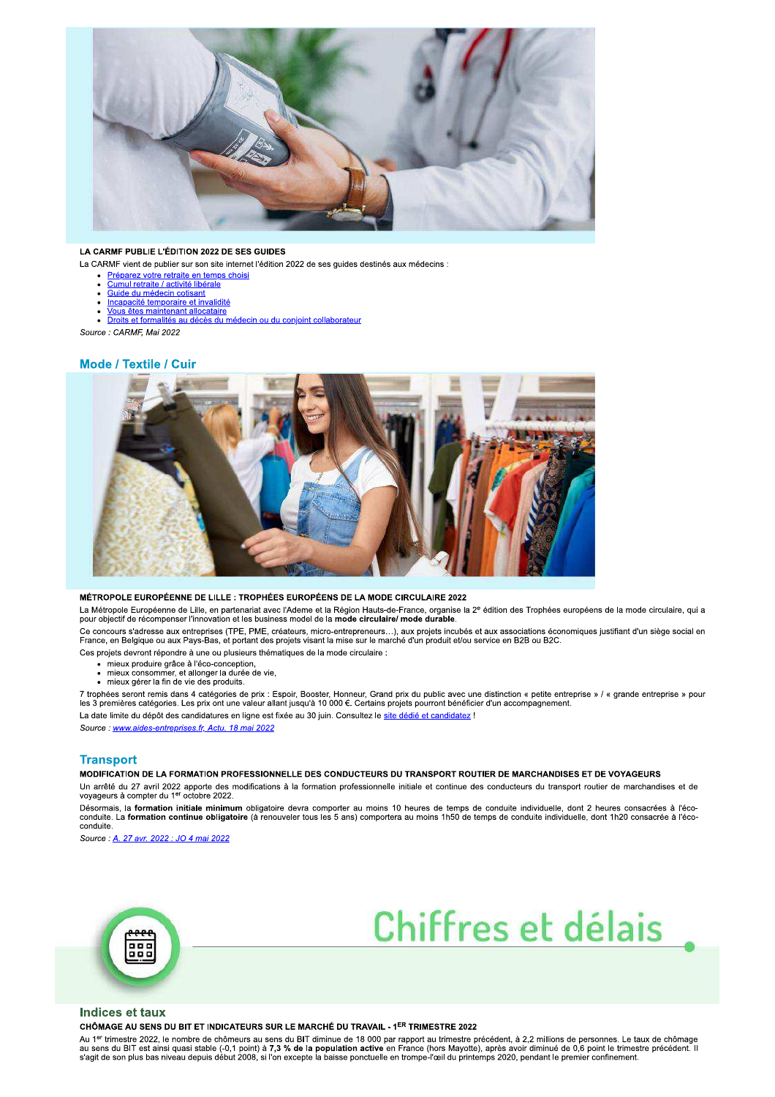

### LA CARMF PUBLIE L'ÉDITION 2022 DE SES GUIDES

- La CARMF vient de publier sur son site internet l'édition 2022 de ses guides destinés aux médecins :
	- Préparez votre retraite en temps choisi
	- Cumul retraite / activité libérale<br>Guide du médecin cotisant
	- Incapacité temporaire et invalidité
	- Vous êtes maintenant allocataire

## Droits et formalités au décès du médecin ou du conjoint collaborateur

Source : CARMF, Mai 2022

# **Mode / Textile / Cuir**



#### MÉTROPOLE EUROPÉENNE DE LILLE : TROPHÉES EUROPÉENS DE LA MODE CIRCULAIRE 2022

La Métropole Européenne de Lille, en partenariat avec l'Ademe et la Région Hauts-de-France, organise la 2<sup>e</sup> édition des Trophées européens de la mode circulaire, qui a<br>pour objectif de récompenser l'innovation et les busi

Ce concours s'adresse aux entreprises (TPE, PME, créateurs, micro-entrepreneurs…), aux projets incubés et aux associations économiques justifiant d'un siège social en<br>France, en Belgique ou aux Pays-Bas, et portant des pro Ces projets devront répondre à une ou plusieurs thématiques de la mode circulaire :

- · mieux produire grâce à l'éco-conception,
- mieux prédaite grace à l'est conseption,<br>mieux consommer, et allonger la durée de vie,<br>mieux gérer la fin de vie des produits.
- 

7 trophées seront remis dans 4 catégories de prix : Espoir, Booster, Honneur, Grand prix du public avec une distinction « petite entreprise » / « grande entreprise » pour<br>les 3 premières catégories. Les prix ont une valeu La date limite du dépôt des candidatures en ligne est fixée au 30 juin. Consultez le site dédié et candidatez !

Source : www.aides-entreprises.fr, Actu. 18 mai 2022

# **Transport**

MODIFICATION DE LA FORMATION PROFESSIONNELLE DES CONDUCTEURS DU TRANSPORT ROUTIER DE MARCHANDISES ET DE VOYAGEURS

Un arrêté du 27 avril 2022 apporte des modifications à la formation professionnelle initiale et continue des conducteurs du transport routier de marchandises et de<br>voyageurs à compter du 1<sup>er</sup> octobre 2022.

"<br>Désormais, la formation initiale minimum obligatoire devra comporter au moins 10 heures de temps de conduite individuelle, dont 2 heures consacrées à l'éco-<br>Conduite. La formation continue obligatoire (à renouveler tous conduite

Source : A. 27 avr. 2022 : JO 4 mai 2022





## **Indices et taux**

CHÔMAGE AU SENS DU BIT ET INDICATEURS SUR LE MARCHÉ DU TRAVAIL - 1ER TRIMESTRE 2022

Au 1<sup>er</sup> trimestre 2022, le nombre de chômeurs au sens du BIT diminue de 18 000 par rapport au trimestre précédent, à 2,2 millions de personnes. Le taux de chômage ad sens du BIT est ainsi quasi stable (-0,1 point) à 7,3 % de la population active en France (hors Mayotte), après avoir diminué de 0,6 point le trimestre précédent. Il<br>s'agit de son plus bas niveau depuis début 2008, si l